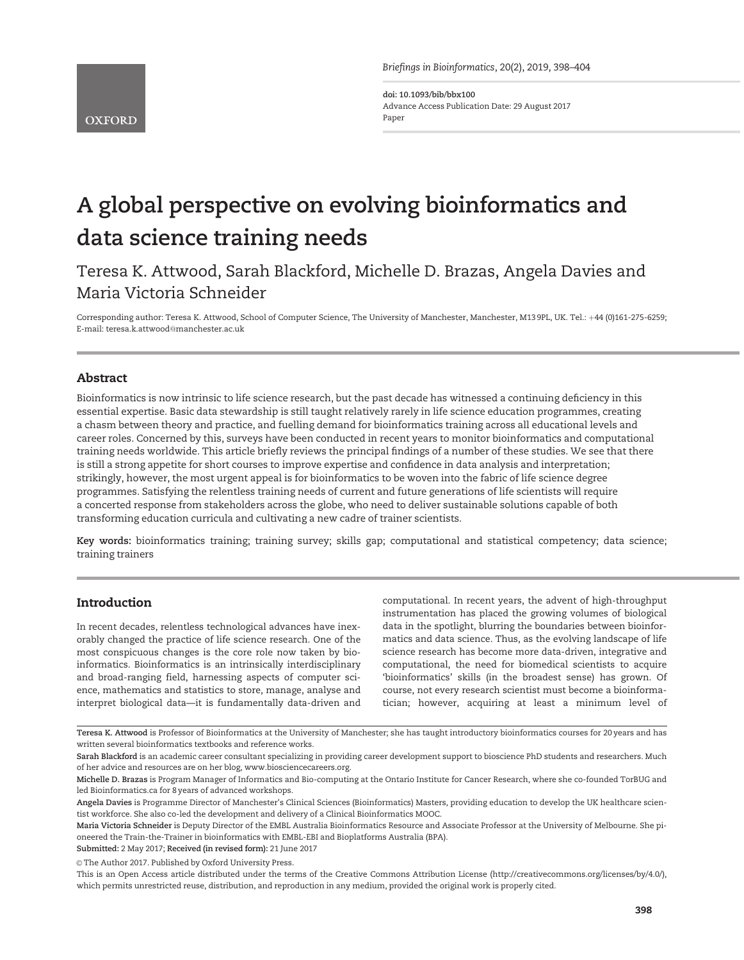Briefings in Bioinformatics, 20(2), 2019, 398–404

doi: 10.1093/bib/bbx100 Advance Access Publication Date: 29 August 2017 Paper

# A global perspective on evolving bioinformatics and data science training needs

Teresa K. Attwood, Sarah Blackford, Michelle D. Brazas, Angela Davies and Maria Victoria Schneider

Corresponding author: Teresa K. Attwood, School of Computer Science, The University of Manchester, Manchester, M13 9PL, UK. Tel.: +44 (0)161-275-6259; E-mail: teresa.k.attwood@manchester.ac.uk

# Abstract

Bioinformatics is now intrinsic to life science research, but the past decade has witnessed a continuing deficiency in this essential expertise. Basic data stewardship is still taught relatively rarely in life science education programmes, creating a chasm between theory and practice, and fuelling demand for bioinformatics training across all educational levels and career roles. Concerned by this, surveys have been conducted in recent years to monitor bioinformatics and computational training needs worldwide. This article briefly reviews the principal findings of a number of these studies. We see that there is still a strong appetite for short courses to improve expertise and confidence in data analysis and interpretation; strikingly, however, the most urgent appeal is for bioinformatics to be woven into the fabric of life science degree programmes. Satisfying the relentless training needs of current and future generations of life scientists will require a concerted response from stakeholders across the globe, who need to deliver sustainable solutions capable of both transforming education curricula and cultivating a new cadre of trainer scientists.

Key words: bioinformatics training; training survey; skills gap; computational and statistical competency; data science; training trainers

# Introduction

In recent decades, relentless technological advances have inexorably changed the practice of life science research. One of the most conspicuous changes is the core role now taken by bioinformatics. Bioinformatics is an intrinsically interdisciplinary and broad-ranging field, harnessing aspects of computer science, mathematics and statistics to store, manage, analyse and interpret biological data—it is fundamentally data-driven and

computational. In recent years, the advent of high-throughput instrumentation has placed the growing volumes of biological data in the spotlight, blurring the boundaries between bioinformatics and data science. Thus, as the evolving landscape of life science research has become more data-driven, integrative and computational, the need for biomedical scientists to acquire 'bioinformatics' skills (in the broadest sense) has grown. Of course, not every research scientist must become a bioinformatician; however, acquiring at least a minimum level of

Submitted: 2 May 2017; Received (in revised form): 21 June 2017

© The Author 2017. Published by Oxford University Press.

Teresa K. Attwood is Professor of Bioinformatics at the University of Manchester; she has taught introductory bioinformatics courses for 20 years and has written several bioinformatics textbooks and reference works.

Sarah Blackford is an academic career consultant specializing in providing career development support to bioscience PhD students and researchers. Much of her advice and resources are on her blog, [www.biosciencecareers.org.](http://www.biosciencecareers.org)

Michelle D. Brazas is Program Manager of Informatics and Bio-computing at the Ontario Institute for Cancer Research, where she co-founded TorBUG and led Bioinformatics.ca for 8 years of advanced workshops.

Angela Davies is Programme Director of Manchester's Clinical Sciences (Bioinformatics) Masters, providing education to develop the UK healthcare scientist workforce. She also co-led the development and delivery of a Clinical Bioinformatics MOOC.

Maria Victoria Schneider is Deputy Director of the EMBL Australia Bioinformatics Resource and Associate Professor at the University of Melbourne. She pioneered the Train-the-Trainer in bioinformatics with EMBL-EBI and Bioplatforms Australia (BPA).

This is an Open Access article distributed under the terms of the Creative Commons Attribution License (http://creativecommons.org/licenses/by/4.0/), which permits unrestricted reuse, distribution, and reproduction in any medium, provided the original work is properly cited.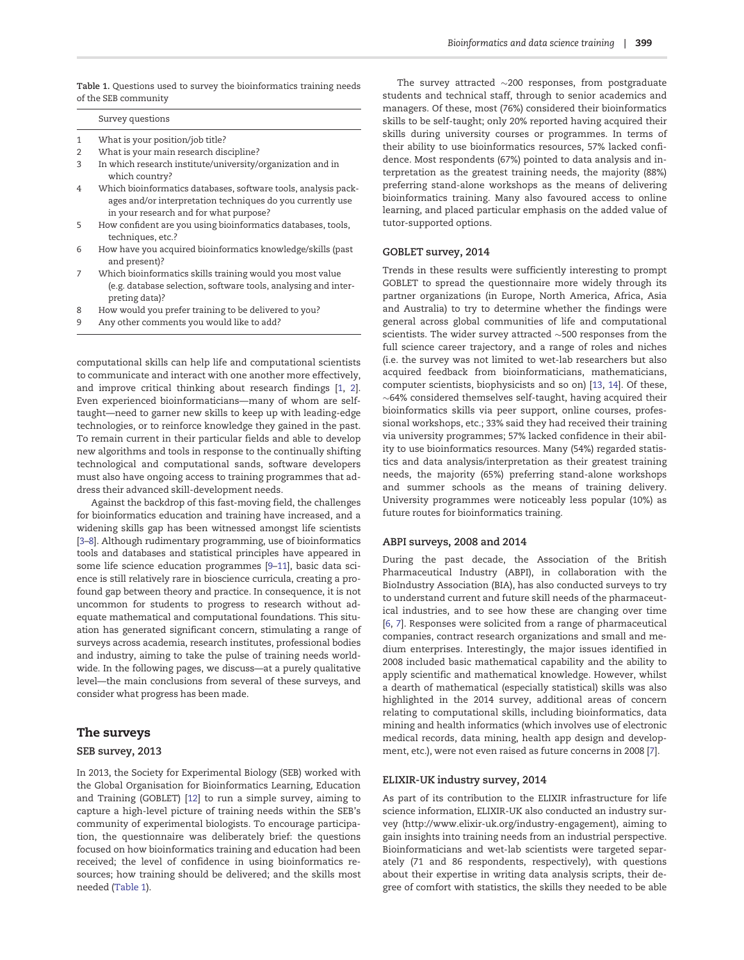Table 1. Questions used to survey the bioinformatics training needs of the SEB community

#### Survey questions

- 1 What is your position/job title?
- 2 What is your main research discipline?
- 3 In which research institute/university/organization and in which country?
- 4 Which bioinformatics databases, software tools, analysis packages and/or interpretation techniques do you currently use in your research and for what purpose?
- 5 How confident are you using bioinformatics databases, tools, techniques, etc.?
- 6 How have you acquired bioinformatics knowledge/skills (past and present)?
- 7 Which bioinformatics skills training would you most value (e.g. database selection, software tools, analysing and interpreting data)?
- 8 How would you prefer training to be delivered to you?
- 9 Any other comments you would like to add?

computational skills can help life and computational scientists to communicate and interact with one another more effectively, and improve critical thinking about research findings [\[1](#page-5-0), [2\]](#page-5-0). Even experienced bioinformaticians—many of whom are selftaught—need to garner new skills to keep up with leading-edge technologies, or to reinforce knowledge they gained in the past. To remain current in their particular fields and able to develop new algorithms and tools in response to the continually shifting technological and computational sands, software developers must also have ongoing access to training programmes that address their advanced skill-development needs.

Against the backdrop of this fast-moving field, the challenges for bioinformatics education and training have increased, and a widening skills gap has been witnessed amongst life scientists [\[3–](#page-5-0)[8](#page-6-0)]. Although rudimentary programming, use of bioinformatics tools and databases and statistical principles have appeared in some life science education programmes [[9–11](#page-6-0)], basic data science is still relatively rare in bioscience curricula, creating a profound gap between theory and practice. In consequence, it is not uncommon for students to progress to research without adequate mathematical and computational foundations. This situation has generated significant concern, stimulating a range of surveys across academia, research institutes, professional bodies and industry, aiming to take the pulse of training needs worldwide. In the following pages, we discuss—at a purely qualitative level—the main conclusions from several of these surveys, and consider what progress has been made.

#### The surveys

#### SEB survey, 2013

In 2013, the Society for Experimental Biology (SEB) worked with the Global Organisation for Bioinformatics Learning, Education and Training (GOBLET) [\[12\]](#page-6-0) to run a simple survey, aiming to capture a high-level picture of training needs within the SEB's community of experimental biologists. To encourage participation, the questionnaire was deliberately brief: the questions focused on how bioinformatics training and education had been received; the level of confidence in using bioinformatics resources; how training should be delivered; and the skills most needed (Table 1).

The survey attracted  $\sim$ 200 responses, from postgraduate students and technical staff, through to senior academics and managers. Of these, most (76%) considered their bioinformatics skills to be self-taught; only 20% reported having acquired their skills during university courses or programmes. In terms of their ability to use bioinformatics resources, 57% lacked confidence. Most respondents (67%) pointed to data analysis and interpretation as the greatest training needs, the majority (88%) preferring stand-alone workshops as the means of delivering bioinformatics training. Many also favoured access to online learning, and placed particular emphasis on the added value of tutor-supported options.

#### GOBLET survey, 2014

Trends in these results were sufficiently interesting to prompt GOBLET to spread the questionnaire more widely through its partner organizations (in Europe, North America, Africa, Asia and Australia) to try to determine whether the findings were general across global communities of life and computational scientists. The wider survey attracted  ${\sim}500$  responses from the full science career trajectory, and a range of roles and niches (i.e. the survey was not limited to wet-lab researchers but also acquired feedback from bioinformaticians, mathematicians, computer scientists, biophysicists and so on) [[13](#page-6-0), [14](#page-6-0)]. Of these,  $\sim$ 64% considered themselves self-taught, having acquired their bioinformatics skills via peer support, online courses, professional workshops, etc.; 33% said they had received their training via university programmes; 57% lacked confidence in their ability to use bioinformatics resources. Many (54%) regarded statistics and data analysis/interpretation as their greatest training needs, the majority (65%) preferring stand-alone workshops and summer schools as the means of training delivery. University programmes were noticeably less popular (10%) as future routes for bioinformatics training.

#### ABPI surveys, 2008 and 2014

During the past decade, the Association of the British Pharmaceutical Industry (ABPI), in collaboration with the BioIndustry Association (BIA), has also conducted surveys to try to understand current and future skill needs of the pharmaceutical industries, and to see how these are changing over time [\[6,](#page-5-0) [7](#page-6-0)]. Responses were solicited from a range of pharmaceutical companies, contract research organizations and small and medium enterprises. Interestingly, the major issues identified in 2008 included basic mathematical capability and the ability to apply scientific and mathematical knowledge. However, whilst a dearth of mathematical (especially statistical) skills was also highlighted in the 2014 survey, additional areas of concern relating to computational skills, including bioinformatics, data mining and health informatics (which involves use of electronic medical records, data mining, health app design and development, etc.), were not even raised as future concerns in 2008 [[7](#page-6-0)].

#### ELIXIR-UK industry survey, 2014

As part of its contribution to the ELIXIR infrastructure for life science information, ELIXIR-UK also conducted an industry survey (<http://www.elixir-uk.org/industry-engagement>), aiming to gain insights into training needs from an industrial perspective. Bioinformaticians and wet-lab scientists were targeted separately (71 and 86 respondents, respectively), with questions about their expertise in writing data analysis scripts, their degree of comfort with statistics, the skills they needed to be able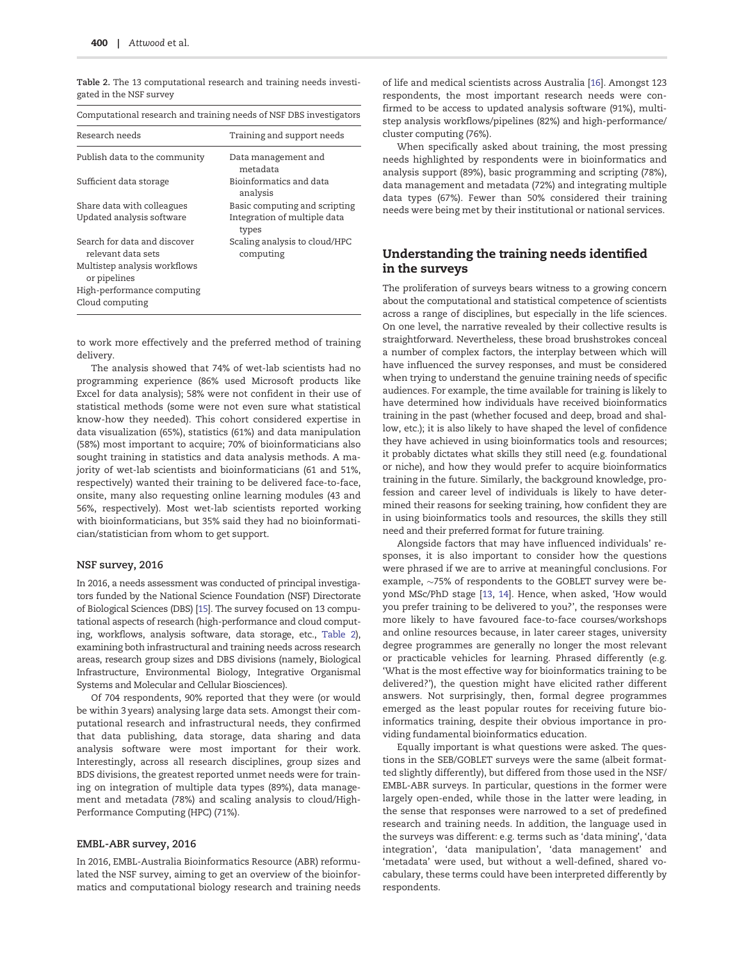Table 2. The 13 computational research and training needs investigated in the NSF survey

| Computational research and training needs of NSF DBS investigators |                                            |  |  |  |  |
|--------------------------------------------------------------------|--------------------------------------------|--|--|--|--|
| Research needs                                                     | Training and support needs                 |  |  |  |  |
| Publish data to the community                                      | Data management and<br>metadata            |  |  |  |  |
| Sufficient data storage                                            | Bioinformatics and data<br>analysis        |  |  |  |  |
| Share data with colleagues                                         | Basic computing and scripting              |  |  |  |  |
| Updated analysis software                                          | Integration of multiple data<br>types      |  |  |  |  |
| Search for data and discover<br>relevant data sets                 | Scaling analysis to cloud/HPC<br>computing |  |  |  |  |
| Multistep analysis workflows<br>or pipelines                       |                                            |  |  |  |  |
| High-performance computing                                         |                                            |  |  |  |  |
| Cloud computing                                                    |                                            |  |  |  |  |

to work more effectively and the preferred method of training delivery.

The analysis showed that 74% of wet-lab scientists had no programming experience (86% used Microsoft products like Excel for data analysis); 58% were not confident in their use of statistical methods (some were not even sure what statistical know-how they needed). This cohort considered expertise in data visualization (65%), statistics (61%) and data manipulation (58%) most important to acquire; 70% of bioinformaticians also sought training in statistics and data analysis methods. A majority of wet-lab scientists and bioinformaticians (61 and 51%, respectively) wanted their training to be delivered face-to-face, onsite, many also requesting online learning modules (43 and 56%, respectively). Most wet-lab scientists reported working with bioinformaticians, but 35% said they had no bioinformatician/statistician from whom to get support.

#### NSF survey, 2016

In 2016, a needs assessment was conducted of principal investigators funded by the National Science Foundation (NSF) Directorate of Biological Sciences (DBS) [\[15](#page-6-0)]. The survey focused on 13 computational aspects of research (high-performance and cloud computing, workflows, analysis software, data storage, etc., Table 2), examining both infrastructural and training needs across research areas, research group sizes and DBS divisions (namely, Biological Infrastructure, Environmental Biology, Integrative Organismal Systems and Molecular and Cellular Biosciences).

Of 704 respondents, 90% reported that they were (or would be within 3 years) analysing large data sets. Amongst their computational research and infrastructural needs, they confirmed that data publishing, data storage, data sharing and data analysis software were most important for their work. Interestingly, across all research disciplines, group sizes and BDS divisions, the greatest reported unmet needs were for training on integration of multiple data types (89%), data management and metadata (78%) and scaling analysis to cloud/High-Performance Computing (HPC) (71%).

#### EMBL-ABR survey, 2016

In 2016, EMBL-Australia Bioinformatics Resource (ABR) reformulated the NSF survey, aiming to get an overview of the bioinformatics and computational biology research and training needs of life and medical scientists across Australia [\[16\]](#page-6-0). Amongst 123 respondents, the most important research needs were confirmed to be access to updated analysis software (91%), multistep analysis workflows/pipelines (82%) and high-performance/ cluster computing (76%).

When specifically asked about training, the most pressing needs highlighted by respondents were in bioinformatics and analysis support (89%), basic programming and scripting (78%), data management and metadata (72%) and integrating multiple data types (67%). Fewer than 50% considered their training needs were being met by their institutional or national services.

### Understanding the training needs identified in the surveys

The proliferation of surveys bears witness to a growing concern about the computational and statistical competence of scientists across a range of disciplines, but especially in the life sciences. On one level, the narrative revealed by their collective results is straightforward. Nevertheless, these broad brushstrokes conceal a number of complex factors, the interplay between which will have influenced the survey responses, and must be considered when trying to understand the genuine training needs of specific audiences. For example, the time available for training is likely to have determined how individuals have received bioinformatics training in the past (whether focused and deep, broad and shallow, etc.); it is also likely to have shaped the level of confidence they have achieved in using bioinformatics tools and resources; it probably dictates what skills they still need (e.g. foundational or niche), and how they would prefer to acquire bioinformatics training in the future. Similarly, the background knowledge, profession and career level of individuals is likely to have determined their reasons for seeking training, how confident they are in using bioinformatics tools and resources, the skills they still need and their preferred format for future training.

Alongside factors that may have influenced individuals' responses, it is also important to consider how the questions were phrased if we are to arrive at meaningful conclusions. For example,  $\sim$ 75% of respondents to the GOBLET survey were beyond MSc/PhD stage [\[13](#page-6-0), [14\]](#page-6-0). Hence, when asked, 'How would you prefer training to be delivered to you?', the responses were more likely to have favoured face-to-face courses/workshops and online resources because, in later career stages, university degree programmes are generally no longer the most relevant or practicable vehicles for learning. Phrased differently (e.g. 'What is the most effective way for bioinformatics training to be delivered?'), the question might have elicited rather different answers. Not surprisingly, then, formal degree programmes emerged as the least popular routes for receiving future bioinformatics training, despite their obvious importance in providing fundamental bioinformatics education.

Equally important is what questions were asked. The questions in the SEB/GOBLET surveys were the same (albeit formatted slightly differently), but differed from those used in the NSF/ EMBL-ABR surveys. In particular, questions in the former were largely open-ended, while those in the latter were leading, in the sense that responses were narrowed to a set of predefined research and training needs. In addition, the language used in the surveys was different: e.g. terms such as 'data mining', 'data integration', 'data manipulation', 'data management' and 'metadata' were used, but without a well-defined, shared vocabulary, these terms could have been interpreted differently by respondents.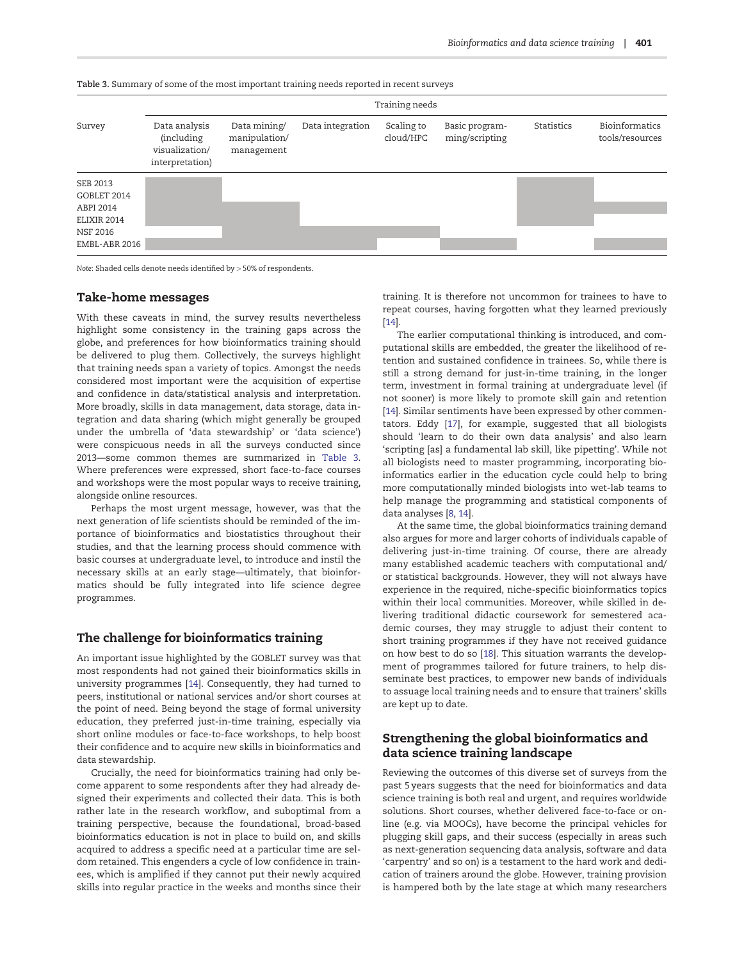|                                                                                         | Training needs                                                          |                                             |                  |                         |                                  |                   |                                          |  |
|-----------------------------------------------------------------------------------------|-------------------------------------------------------------------------|---------------------------------------------|------------------|-------------------------|----------------------------------|-------------------|------------------------------------------|--|
| Survey                                                                                  | Data analysis<br><i>(including</i><br>visualization/<br>interpretation) | Data mining/<br>manipulation/<br>management | Data integration | Scaling to<br>cloud/HPC | Basic program-<br>ming/scripting | <b>Statistics</b> | <b>Bioinformatics</b><br>tools/resources |  |
| SEB 2013<br>GOBLET 2014<br>ABPI 2014<br>ELIXIR 2014<br><b>NSF 2016</b><br>EMBL-ABR 2016 |                                                                         |                                             |                  |                         |                                  |                   |                                          |  |

Table 3. Summary of some of the most important training needs reported in recent surveys

Note: Shaded cells denote needs identified by > 50% of respondents.

### Take-home messages

With these caveats in mind, the survey results nevertheless highlight some consistency in the training gaps across the globe, and preferences for how bioinformatics training should be delivered to plug them. Collectively, the surveys highlight that training needs span a variety of topics. Amongst the needs considered most important were the acquisition of expertise and confidence in data/statistical analysis and interpretation. More broadly, skills in data management, data storage, data integration and data sharing (which might generally be grouped under the umbrella of 'data stewardship' or 'data science') were conspicuous needs in all the surveys conducted since 2013—some common themes are summarized in Table 3. Where preferences were expressed, short face-to-face courses and workshops were the most popular ways to receive training, alongside online resources.

Perhaps the most urgent message, however, was that the next generation of life scientists should be reminded of the importance of bioinformatics and biostatistics throughout their studies, and that the learning process should commence with basic courses at undergraduate level, to introduce and instil the necessary skills at an early stage—ultimately, that bioinformatics should be fully integrated into life science degree programmes.

### The challenge for bioinformatics training

An important issue highlighted by the GOBLET survey was that most respondents had not gained their bioinformatics skills in university programmes [\[14](#page-6-0)]. Consequently, they had turned to peers, institutional or national services and/or short courses at the point of need. Being beyond the stage of formal university education, they preferred just-in-time training, especially via short online modules or face-to-face workshops, to help boost their confidence and to acquire new skills in bioinformatics and data stewardship.

Crucially, the need for bioinformatics training had only become apparent to some respondents after they had already designed their experiments and collected their data. This is both rather late in the research workflow, and suboptimal from a training perspective, because the foundational, broad-based bioinformatics education is not in place to build on, and skills acquired to address a specific need at a particular time are seldom retained. This engenders a cycle of low confidence in trainees, which is amplified if they cannot put their newly acquired skills into regular practice in the weeks and months since their

training. It is therefore not uncommon for trainees to have to repeat courses, having forgotten what they learned previously [\[14\]](#page-6-0).

The earlier computational thinking is introduced, and computational skills are embedded, the greater the likelihood of retention and sustained confidence in trainees. So, while there is still a strong demand for just-in-time training, in the longer term, investment in formal training at undergraduate level (if not sooner) is more likely to promote skill gain and retention [\[14\]](#page-6-0). Similar sentiments have been expressed by other commentators. Eddy [[17\]](#page-6-0), for example, suggested that all biologists should 'learn to do their own data analysis' and also learn 'scripting [as] a fundamental lab skill, like pipetting'. While not all biologists need to master programming, incorporating bioinformatics earlier in the education cycle could help to bring more computationally minded biologists into wet-lab teams to help manage the programming and statistical components of data analyses [\[8](#page-6-0), [14\]](#page-6-0).

At the same time, the global bioinformatics training demand also argues for more and larger cohorts of individuals capable of delivering just-in-time training. Of course, there are already many established academic teachers with computational and/ or statistical backgrounds. However, they will not always have experience in the required, niche-specific bioinformatics topics within their local communities. Moreover, while skilled in delivering traditional didactic coursework for semestered academic courses, they may struggle to adjust their content to short training programmes if they have not received guidance on how best to do so [[18](#page-6-0)]. This situation warrants the development of programmes tailored for future trainers, to help disseminate best practices, to empower new bands of individuals to assuage local training needs and to ensure that trainers' skills are kept up to date.

## Strengthening the global bioinformatics and data science training landscape

Reviewing the outcomes of this diverse set of surveys from the past 5 years suggests that the need for bioinformatics and data science training is both real and urgent, and requires worldwide solutions. Short courses, whether delivered face-to-face or online (e.g. via MOOCs), have become the principal vehicles for plugging skill gaps, and their success (especially in areas such as next-generation sequencing data analysis, software and data 'carpentry' and so on) is a testament to the hard work and dedication of trainers around the globe. However, training provision is hampered both by the late stage at which many researchers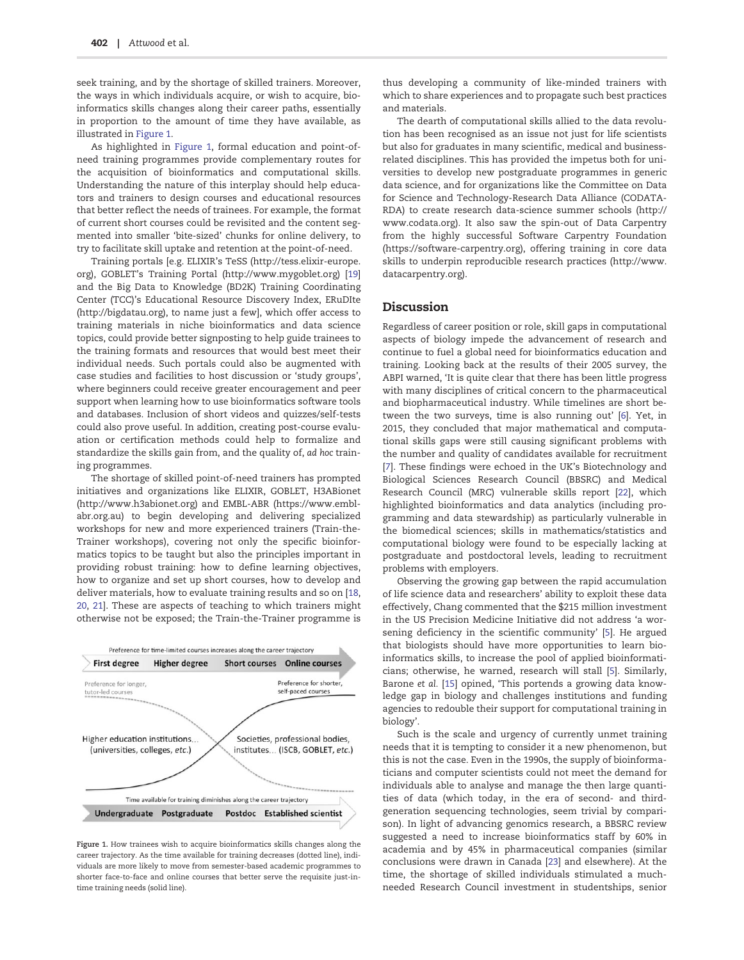seek training, and by the shortage of skilled trainers. Moreover, the ways in which individuals acquire, or wish to acquire, bioinformatics skills changes along their career paths, essentially in proportion to the amount of time they have available, as illustrated in Figure 1.

As highlighted in Figure 1, formal education and point-ofneed training programmes provide complementary routes for the acquisition of bioinformatics and computational skills. Understanding the nature of this interplay should help educators and trainers to design courses and educational resources that better reflect the needs of trainees. For example, the format of current short courses could be revisited and the content segmented into smaller 'bite-sized' chunks for online delivery, to try to facilitate skill uptake and retention at the point-of-need.

Training portals [e.g. ELIXIR's TeSS [\(http://tess.elixir-europe.](http://tess.elixir-europe.org) [org\)](http://tess.elixir-europe.org), GOBLET's Training Portal [\(http://www.mygoblet.org\)](http://www.mygoblet.org) [[19\]](#page-6-0) and the Big Data to Knowledge (BD2K) Training Coordinating Center (TCC)'s Educational Resource Discovery Index, ERuDIte [\(http://bigdatau.org](http://bigdatau.org)), to name just a few], which offer access to training materials in niche bioinformatics and data science topics, could provide better signposting to help guide trainees to the training formats and resources that would best meet their individual needs. Such portals could also be augmented with case studies and facilities to host discussion or 'study groups', where beginners could receive greater encouragement and peer support when learning how to use bioinformatics software tools and databases. Inclusion of short videos and quizzes/self-tests could also prove useful. In addition, creating post-course evaluation or certification methods could help to formalize and standardize the skills gain from, and the quality of, ad hoc training programmes.

The shortage of skilled point-of-need trainers has prompted initiatives and organizations like ELIXIR, GOBLET, H3ABionet [\(http://www.h3abionet.org](http://www.h3abionet.org)) and EMBL-ABR [\(https://www.embl](https://www.embl-abr.org.au)[abr.org.au\)](https://www.embl-abr.org.au) to begin developing and delivering specialized workshops for new and more experienced trainers (Train-the-Trainer workshops), covering not only the specific bioinformatics topics to be taught but also the principles important in providing robust training: how to define learning objectives, how to organize and set up short courses, how to develop and deliver materials, how to evaluate training results and so on [[18](#page-6-0), [20](#page-6-0), [21\]](#page-6-0). These are aspects of teaching to which trainers might otherwise not be exposed; the Train-the-Trainer programme is



Figure 1. How trainees wish to acquire bioinformatics skills changes along the career trajectory. As the time available for training decreases (dotted line), individuals are more likely to move from semester-based academic programmes to shorter face-to-face and online courses that better serve the requisite just-intime training needs (solid line).

thus developing a community of like-minded trainers with which to share experiences and to propagate such best practices and materials.

The dearth of computational skills allied to the data revolution has been recognised as an issue not just for life scientists but also for graduates in many scientific, medical and businessrelated disciplines. This has provided the impetus both for universities to develop new postgraduate programmes in generic data science, and for organizations like the Committee on Data for Science and Technology-Research Data Alliance (CODATA-RDA) to create research data-science summer schools [\(http://](http://www.codata.org) [www.codata.org\)](http://www.codata.org). It also saw the spin-out of Data Carpentry from the highly successful Software Carpentry Foundation [\(https://software-carpentry.org](https://software-carpentry.org)), offering training in core data skills to underpin reproducible research practices ([http://www.](http://www.datacarpentry.org) [datacarpentry.org\)](http://www.datacarpentry.org).

#### Discussion

Regardless of career position or role, skill gaps in computational aspects of biology impede the advancement of research and continue to fuel a global need for bioinformatics education and training. Looking back at the results of their 2005 survey, the ABPI warned, 'It is quite clear that there has been little progress with many disciplines of critical concern to the pharmaceutical and biopharmaceutical industry. While timelines are short between the two surveys, time is also running out' [\[6\]](#page-5-0). Yet, in 2015, they concluded that major mathematical and computational skills gaps were still causing significant problems with the number and quality of candidates available for recruitment [\[7\]](#page-6-0). These findings were echoed in the UK's Biotechnology and Biological Sciences Research Council (BBSRC) and Medical Research Council (MRC) vulnerable skills report [\[22](#page-6-0)], which highlighted bioinformatics and data analytics (including programming and data stewardship) as particularly vulnerable in the biomedical sciences; skills in mathematics/statistics and computational biology were found to be especially lacking at postgraduate and postdoctoral levels, leading to recruitment problems with employers.

Observing the growing gap between the rapid accumulation of life science data and researchers' ability to exploit these data effectively, Chang commented that the \$215 million investment in the US Precision Medicine Initiative did not address 'a worsening deficiency in the scientific community' [\[5](#page-5-0)]. He argued that biologists should have more opportunities to learn bioinformatics skills, to increase the pool of applied bioinformaticians; otherwise, he warned, research will stall [[5](#page-5-0)]. Similarly, Barone et al. [\[15\]](#page-6-0) opined, 'This portends a growing data knowledge gap in biology and challenges institutions and funding agencies to redouble their support for computational training in biology'.

Such is the scale and urgency of currently unmet training needs that it is tempting to consider it a new phenomenon, but this is not the case. Even in the 1990s, the supply of bioinformaticians and computer scientists could not meet the demand for individuals able to analyse and manage the then large quantities of data (which today, in the era of second- and thirdgeneration sequencing technologies, seem trivial by comparison). In light of advancing genomics research, a BBSRC review suggested a need to increase bioinformatics staff by 60% in academia and by 45% in pharmaceutical companies (similar conclusions were drawn in Canada [\[23\]](#page-6-0) and elsewhere). At the time, the shortage of skilled individuals stimulated a muchneeded Research Council investment in studentships, senior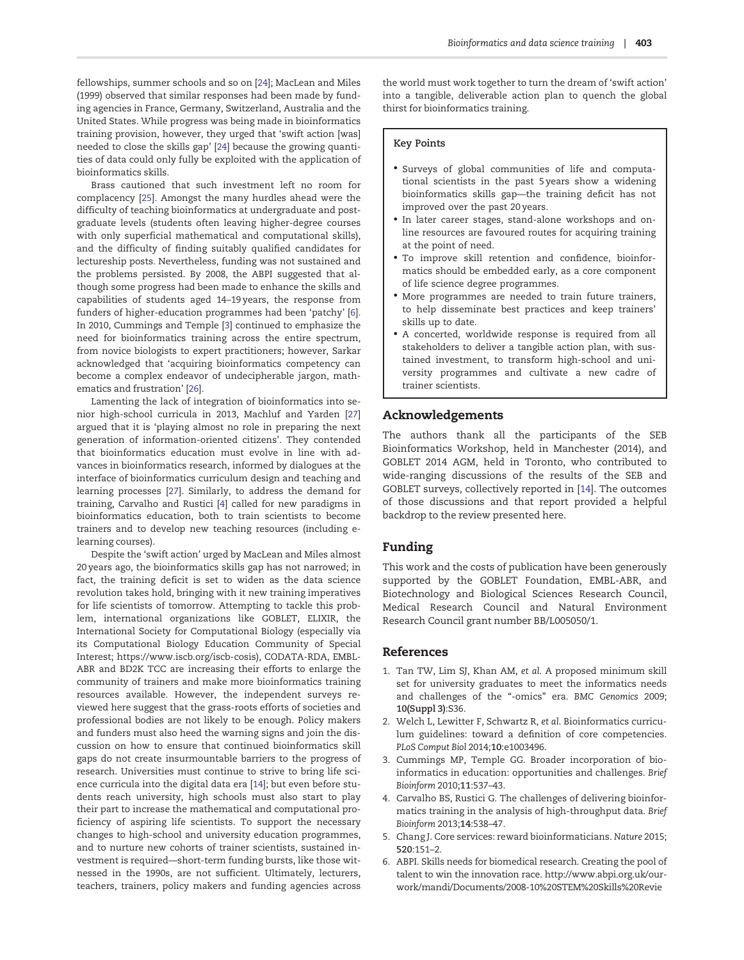<span id="page-5-0"></span>fellowships, summer schools and so on [\[24](#page-6-0)]; MacLean and Miles (1999) observed that similar responses had been made by funding agencies in France, Germany, Switzerland, Australia and the United States. While progress was being made in bioinformatics training provision, however, they urged that 'swift action [was] needed to close the skills gap' [[24\]](#page-6-0) because the growing quantities of data could only fully be exploited with the application of bioinformatics skills.

Brass cautioned that such investment left no room for complacency [[25](#page-6-0)]. Amongst the many hurdles ahead were the difficulty of teaching bioinformatics at undergraduate and postgraduate levels (students often leaving higher-degree courses with only superficial mathematical and computational skills), and the difficulty of finding suitably qualified candidates for lectureship posts. Nevertheless, funding was not sustained and the problems persisted. By 2008, the ABPI suggested that although some progress had been made to enhance the skills and capabilities of students aged 14–19 years, the response from funders of higher-education programmes had been 'patchy' [6]. In 2010, Cummings and Temple [3] continued to emphasize the need for bioinformatics training across the entire spectrum, from novice biologists to expert practitioners; however, Sarkar acknowledged that 'acquiring bioinformatics competency can become a complex endeavor of undecipherable jargon, mathematics and frustration' [\[26\]](#page-6-0).

Lamenting the lack of integration of bioinformatics into senior high-school curricula in 2013, Machluf and Yarden [[27\]](#page-6-0) argued that it is 'playing almost no role in preparing the next generation of information-oriented citizens'. They contended that bioinformatics education must evolve in line with advances in bioinformatics research, informed by dialogues at the interface of bioinformatics curriculum design and teaching and learning processes [[27](#page-6-0)]. Similarly, to address the demand for training, Carvalho and Rustici [4] called for new paradigms in bioinformatics education, both to train scientists to become trainers and to develop new teaching resources (including elearning courses).

Despite the 'swift action' urged by MacLean and Miles almost 20 years ago, the bioinformatics skills gap has not narrowed; in fact, the training deficit is set to widen as the data science revolution takes hold, bringing with it new training imperatives for life scientists of tomorrow. Attempting to tackle this problem, international organizations like GOBLET, ELIXIR, the International Society for Computational Biology (especially via its Computational Biology Education Community of Special Interest; [https://www.iscb.org/iscb-cosis\)](https://www.iscb.org/iscb-cosis), CODATA-RDA, EMBL-ABR and BD2K TCC are increasing their efforts to enlarge the community of trainers and make more bioinformatics training resources available. However, the independent surveys reviewed here suggest that the grass-roots efforts of societies and professional bodies are not likely to be enough. Policy makers and funders must also heed the warning signs and join the discussion on how to ensure that continued bioinformatics skill gaps do not create insurmountable barriers to the progress of research. Universities must continue to strive to bring life science curricula into the digital data era [\[14\]](#page-6-0); but even before students reach university, high schools must also start to play their part to increase the mathematical and computational proficiency of aspiring life scientists. To support the necessary changes to high-school and university education programmes, and to nurture new cohorts of trainer scientists, sustained investment is required—short-term funding bursts, like those witnessed in the 1990s, are not sufficient. Ultimately, lecturers, teachers, trainers, policy makers and funding agencies across

the world must work together to turn the dream of 'swift action' into a tangible, deliverable action plan to quench the global thirst for bioinformatics training.

#### Key Points

- Surveys of global communities of life and computational scientists in the past 5 years show a widening bioinformatics skills gap—the training deficit has not improved over the past 20 years.
- In later career stages, stand-alone workshops and online resources are favoured routes for acquiring training at the point of need.
- To improve skill retention and confidence, bioinformatics should be embedded early, as a core component of life science degree programmes.
- More programmes are needed to train future trainers, to help disseminate best practices and keep trainers' skills up to date.
- A concerted, worldwide response is required from all stakeholders to deliver a tangible action plan, with sustained investment, to transform high-school and university programmes and cultivate a new cadre of trainer scientists.

#### Acknowledgements

The authors thank all the participants of the SEB Bioinformatics Workshop, held in Manchester (2014), and GOBLET 2014 AGM, held in Toronto, who contributed to wide-ranging discussions of the results of the SEB and GOBLET surveys, collectively reported in [[14](#page-6-0)]. The outcomes of those discussions and that report provided a helpful backdrop to the review presented here.

#### Funding

This work and the costs of publication have been generously supported by the GOBLET Foundation, EMBL-ABR, and Biotechnology and Biological Sciences Research Council, Medical Research Council and Natural Environment Research Council grant number BB/L005050/1.

#### References

- 1. Tan TW, Lim SJ, Khan AM, et al. A proposed minimum skill set for university graduates to meet the informatics needs and challenges of the "-omics" era. BMC Genomics 2009; 10(Suppl 3):S36.
- 2. Welch L, Lewitter F, Schwartz R, et al. Bioinformatics curriculum guidelines: toward a definition of core competencies. PLoS Comput Biol 2014;10:e1003496.
- 3. Cummings MP, Temple GG. Broader incorporation of bioinformatics in education: opportunities and challenges. Brief Bioinform 2010;11:537–43.
- 4. Carvalho BS, Rustici G. The challenges of delivering bioinformatics training in the analysis of high-throughput data. Brief Bioinform 2013;14:538–47.
- 5. Chang J. Core services: reward bioinformaticians. Nature 2015; 520:151–2.
- 6. ABPI. Skills needs for biomedical research. Creating the pool of talent to win the innovation race. [http://www.abpi.org.uk/our](http://www.abpi.org.uk/our-work/mandi/Documents/2008-10%20STEM%20Skills%20Review%20Report%20FINAL%20amended2.pdf#search=skills%2520need%2520for%2520biomedical%2520research)[work/mandi/Documents/2008-10%20STEM%20Skills%20Revie](http://www.abpi.org.uk/our-work/mandi/Documents/2008-10%20STEM%20Skills%20Review%20Report%20FINAL%20amended2.pdf#search=skills%2520need%2520for%2520biomedical%2520research)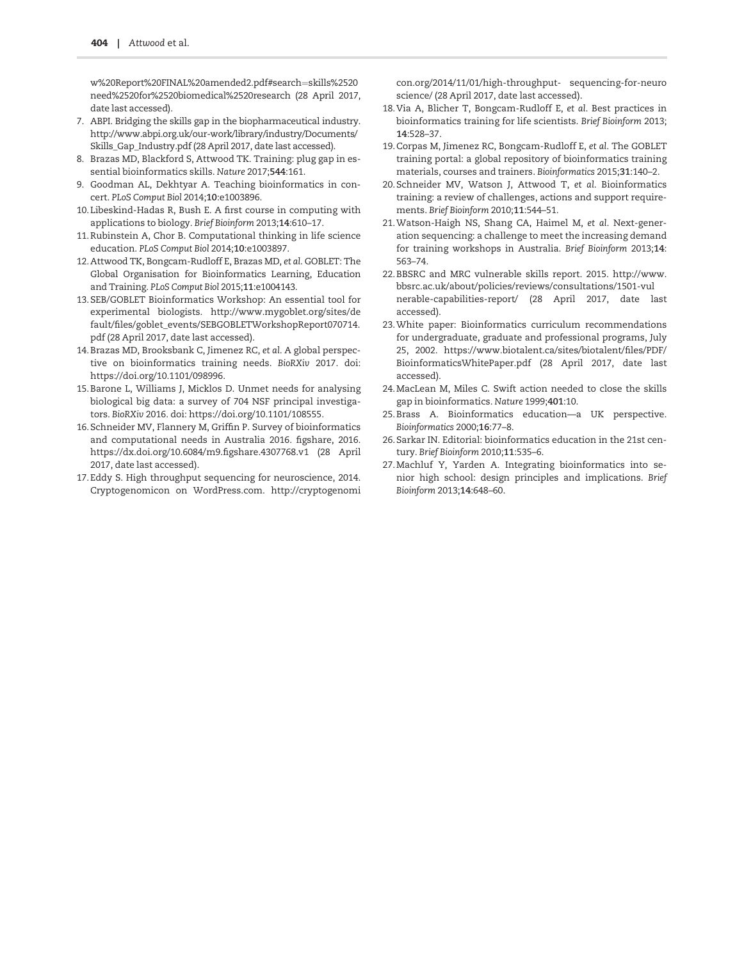<span id="page-6-0"></span>[w%20Report%20FINAL%20amended2.pdf#search](http://www.abpi.org.uk/our-work/mandi/Documents/2008-10%20STEM%20Skills%20Review%20Report%20FINAL%20amended2.pdf#search=skills%2520need%2520for%2520biomedical%2520research)=[skills%2520](http://www.abpi.org.uk/our-work/mandi/Documents/2008-10%20STEM%20Skills%20Review%20Report%20FINAL%20amended2.pdf#search=skills%2520need%2520for%2520biomedical%2520research) [need%2520for](http://www.abpi.org.uk/our-work/mandi/Documents/2008-10%20STEM%20Skills%20Review%20Report%20FINAL%20amended2.pdf#search=skills%2520need%2520for%2520biomedical%2520research)%[2520biomedical%2520research](http://www.abpi.org.uk/our-work/mandi/Documents/2008-10%20STEM%20Skills%20Review%20Report%20FINAL%20amended2.pdf#search=skills%2520need%2520for%2520biomedical%2520research) (28 April 2017, date last accessed).

- 7. ABPI. Bridging the skills gap in the biopharmaceutical industry. [http://www.abpi.org.uk/our-work/library/industry/Documents/](http://www.abpi.org.uk/our-work/library/industry/Documents/Skills_Gap_Industry.pdf) [Skills\\_Gap\\_Industry.pdf](http://www.abpi.org.uk/our-work/library/industry/Documents/Skills_Gap_Industry.pdf) (28 April 2017, date last accessed).
- 8. Brazas MD, Blackford S, Attwood TK. Training: plug gap in essential bioinformatics skills. Nature 2017;544:161.
- 9. Goodman AL, Dekhtyar A. Teaching bioinformatics in concert. PLoS Comput Biol 2014;10:e1003896.
- 10.Libeskind-Hadas R, Bush E. A first course in computing with applications to biology. Brief Bioinform 2013;14:610–17.
- 11.Rubinstein A, Chor B. Computational thinking in life science education. PLoS Comput Biol 2014;10:e1003897.
- 12.Attwood TK, Bongcam-Rudloff E, Brazas MD, et al. GOBLET: The Global Organisation for Bioinformatics Learning, Education and Training. PLoS Comput Biol 2015;11:e1004143.
- 13.SEB/GOBLET Bioinformatics Workshop: An essential tool for experimental biologists. [http://www.mygoblet.org/sites/de](http://www.mygoblet.org/sites/default/files/goblet_events/SEBGOBLETWorkshopReport070714.pdf) [fault/files/goblet\\_events/SEBGOBLETWorkshopReport070714.](http://www.mygoblet.org/sites/default/files/goblet_events/SEBGOBLETWorkshopReport070714.pdf) [pdf](http://www.mygoblet.org/sites/default/files/goblet_events/SEBGOBLETWorkshopReport070714.pdf) (28 April 2017, date last accessed).
- 14.Brazas MD, Brooksbank C, Jimenez RC, et al. A global perspective on bioinformatics training needs. BioRXiv 2017. doi: [https://doi.org/10.1101/098996.](https://doi.org/10.1101/098996)
- 15.Barone L, Williams J, Micklos D. Unmet needs for analysing biological big data: a survey of 704 NSF principal investigators. BioRXiv 2016. doi: [https://doi.org/10.1101/108555.](https://doi.org/10.1101/108555)
- 16.Schneider MV, Flannery M, Griffin P. Survey of bioinformatics and computational needs in Australia 2016. figshare, 2016. <https://dx.doi.org/10.6084/m9.figshare.4307768.v1> (28 April 2017, date last accessed).
- 17.Eddy S. High throughput sequencing for neuroscience, 2014. Cryptogenomicon on WordPress.com. [http://cryptogenomi](http://cryptogenomicon.org/2014/11/01/high-throughput- sequencing-for-neuroscience/)

[con.org/2014/11/01/high-throughput- sequencing-for-neuro](http://cryptogenomicon.org/2014/11/01/high-throughput- sequencing-for-neuroscience/) [science/](http://cryptogenomicon.org/2014/11/01/high-throughput- sequencing-for-neuroscience/) (28 April 2017, date last accessed).

- 18.Via A, Blicher T, Bongcam-Rudloff E, et al. Best practices in bioinformatics training for life scientists. Brief Bioinform 2013; 14:528–37.
- 19.Corpas M, Jimenez RC, Bongcam-Rudloff E, et al. The GOBLET training portal: a global repository of bioinformatics training materials, courses and trainers. Bioinformatics 2015;31:140–2.
- 20.Schneider MV, Watson J, Attwood T, et al. Bioinformatics training: a review of challenges, actions and support requirements. Brief Bioinform 2010;11:544–51.
- 21.Watson-Haigh NS, Shang CA, Haimel M, et al. Next-generation sequencing: a challenge to meet the increasing demand for training workshops in Australia. Brief Bioinform 2013;14: 563–74.
- 22.BBSRC and MRC vulnerable skills report. 2015. [http://www.](http://www.bbsrc.ac.uk/about/policies/reviews/consultations/1501-vulnerable-capabilities-report/) [bbsrc.ac.uk/about/policies/reviews/consultations/1501-vul](http://www.bbsrc.ac.uk/about/policies/reviews/consultations/1501-vulnerable-capabilities-report/) [nerable-capabilities-report/](http://www.bbsrc.ac.uk/about/policies/reviews/consultations/1501-vulnerable-capabilities-report/) (28 April 2017, date last accessed).
- 23.White paper: Bioinformatics curriculum recommendations for undergraduate, graduate and professional programs, July 25, 2002. [https://www.biotalent.ca/sites/biotalent/files/PDF/](https://www.biotalent.ca/sites/biotalent/files/PDF/BioinformaticsWhitePaper.pdf) [BioinformaticsWhitePaper.pdf](https://www.biotalent.ca/sites/biotalent/files/PDF/BioinformaticsWhitePaper.pdf) (28 April 2017, date last accessed).
- 24.MacLean M, Miles C. Swift action needed to close the skills gap in bioinformatics. Nature 1999;401:10.
- 25.Brass A. Bioinformatics education—a UK perspective. Bioinformatics 2000;16:77–8.
- 26.Sarkar IN. Editorial: bioinformatics education in the 21st century. Brief Bioinform 2010;11:535–6.
- 27.Machluf Y, Yarden A. Integrating bioinformatics into senior high school: design principles and implications. Brief Bioinform 2013;14:648–60.